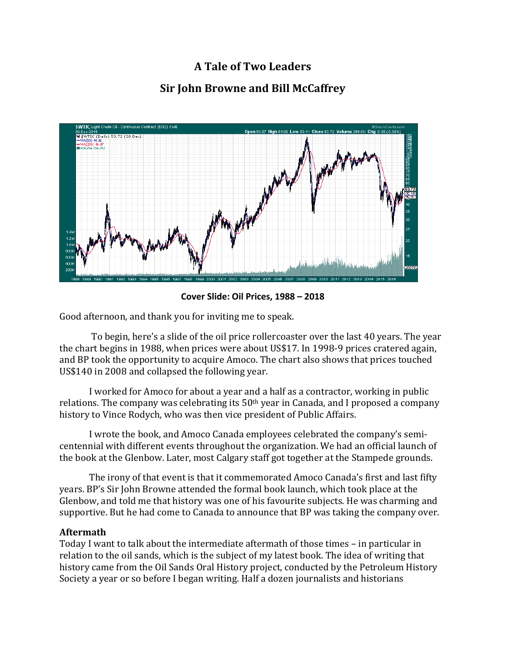# **A Tale of Two Leaders Sir John Browne and Bill McCaffrey**



**Cover Slide: Oil Prices, 1988 – 2018**

Good afternoon, and thank you for inviting me to speak.

To begin, here's a slide of the oil price rollercoaster over the last 40 years. The year the chart begins in 1988, when prices were about US\$17. In 1998-9 prices cratered again, and BP took the opportunity to acquire Amoco. The chart also shows that prices touched US\$140 in 2008 and collapsed the following year.

I worked for Amoco for about a year and a half as a contractor, working in public relations. The company was celebrating its  $50<sup>th</sup>$  year in Canada, and I proposed a company history to Vince Rodych, who was then vice president of Public Affairs.

I wrote the book, and Amoco Canada employees celebrated the company's semicentennial with different events throughout the organization. We had an official launch of the book at the Glenbow. Later, most Calgary staff got together at the Stampede grounds.

The irony of that event is that it commemorated Amoco Canada's first and last fifty years. BP's Sir John Browne attended the formal book launch, which took place at the Glenbow, and told me that history was one of his favourite subjects. He was charming and supportive. But he had come to Canada to announce that BP was taking the company over.

## **Aftermath**

Today I want to talk about the intermediate aftermath of those times – in particular in relation to the oil sands, which is the subject of my latest book. The idea of writing that history came from the Oil Sands Oral History project, conducted by the Petroleum History Society a year or so before I began writing. Half a dozen journalists and historians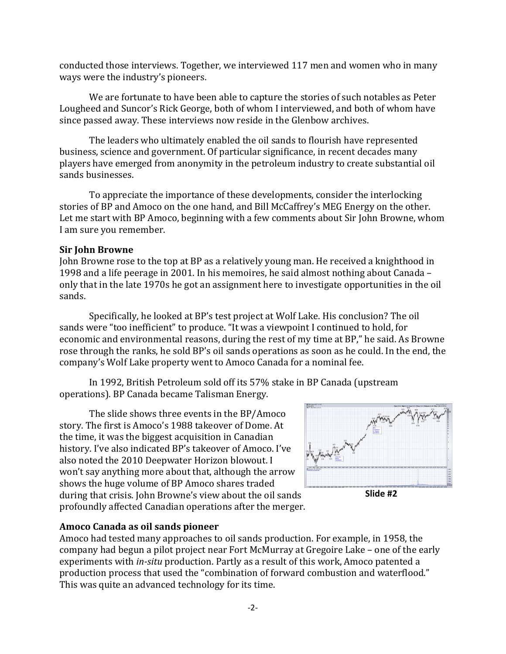conducted those interviews. Together, we interviewed 117 men and women who in many ways were the industry's pioneers.

We are fortunate to have been able to capture the stories of such notables as Peter Lougheed and Suncor's Rick George, both of whom I interviewed, and both of whom have since passed away. These interviews now reside in the Glenbow archives.

The leaders who ultimately enabled the oil sands to flourish have represented business, science and government. Of particular significance, in recent decades many players have emerged from anonymity in the petroleum industry to create substantial oil sands businesses.

To appreciate the importance of these developments, consider the interlocking stories of BP and Amoco on the one hand, and Bill McCaffrey's MEG Energy on the other. Let me start with BP Amoco, beginning with a few comments about Sir John Browne, whom I am sure you remember.

## **Sir John Browne**

John Browne rose to the top at BP as a relatively young man. He received a knighthood in 1998 and a life peerage in 2001. In his memoires, he said almost nothing about Canada – only that in the late 1970s he got an assignment here to investigate opportunities in the oil sands. 

Specifically, he looked at BP's test project at Wolf Lake. His conclusion? The oil sands were "too inefficient" to produce. "It was a viewpoint I continued to hold, for economic and environmental reasons, during the rest of my time at BP," he said. As Browne rose through the ranks, he sold BP's oil sands operations as soon as he could. In the end, the company's Wolf Lake property went to Amoco Canada for a nominal fee.

In 1992, British Petroleum sold off its 57% stake in BP Canada (upstream operations). BP Canada became Talisman Energy.

The slide shows three events in the BP/Amoco story. The first is Amoco's 1988 takeover of Dome. At the time, it was the biggest acquisition in Canadian history. I've also indicated BP's takeover of Amoco. I've also noted the 2010 Deepwater Horizon blowout. I won't say anything more about that, although the arrow shows the huge volume of BP Amoco shares traded during that crisis. John Browne's view about the oil sands profoundly affected Canadian operations after the merger.



## **Amoco Canada as oil sands pioneer**

Amoco had tested many approaches to oil sands production. For example, in 1958, the company had begun a pilot project near Fort McMurray at Gregoire Lake – one of the early experiments with *in-situ* production. Partly as a result of this work, Amoco patented a production process that used the "combination of forward combustion and waterflood." This was quite an advanced technology for its time.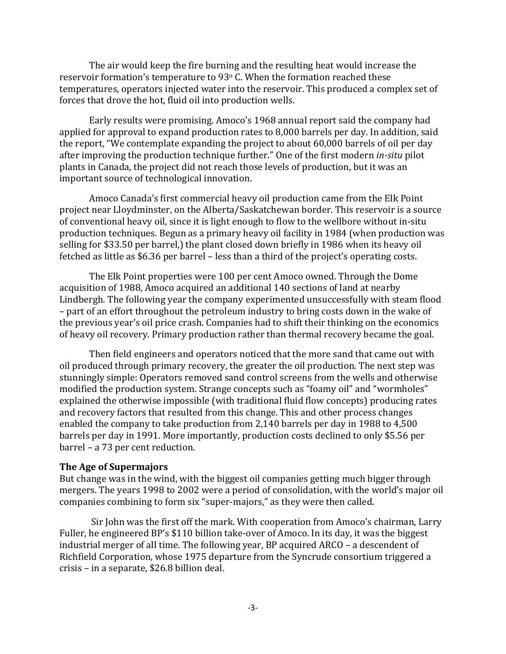The air would keep the fire burning and the resulting heat would increase the reservoir formation's temperature to  $93^\circ$  C. When the formation reached these temperatures, operators injected water into the reservoir. This produced a complex set of forces that drove the hot, fluid oil into production wells.

Early results were promising. Amoco's 1968 annual report said the company had applied for approval to expand production rates to  $8,000$  barrels per day. In addition, said the report, "We contemplate expanding the project to about  $60,000$  barrels of oil per day after improving the production technique further." One of the first modern *in-situ* pilot plants in Canada, the project did not reach those levels of production, but it was an important source of technological innovation.

Amoco Canada's first commercial heavy oil production came from the Elk Point project near Lloydminster, on the Alberta/Saskatchewan border. This reservoir is a source of conventional heavy oil, since it is light enough to flow to the wellbore without in-situ production techniques. Begun as a primary heavy oil facility in 1984 (when production was selling for \$33.50 per barrel,) the plant closed down briefly in 1986 when its heavy oil fetched as little as  $$6.36$  per barrel – less than a third of the project's operating costs.

The Elk Point properties were 100 per cent Amoco owned. Through the Dome acquisition of 1988, Amoco acquired an additional 140 sections of land at nearby Lindbergh. The following year the company experimented unsuccessfully with steam flood – part of an effort throughout the petroleum industry to bring costs down in the wake of the previous vear's oil price crash. Companies had to shift their thinking on the economics of heavy oil recovery. Primary production rather than thermal recovery became the goal.

Then field engineers and operators noticed that the more sand that came out with oil produced through primary recovery, the greater the oil production. The next step was stunningly simple: Operators removed sand control screens from the wells and otherwise modified the production system. Strange concepts such as "foamy oil" and "wormholes" explained the otherwise impossible (with traditional fluid flow concepts) producing rates and recovery factors that resulted from this change. This and other process changes enabled the company to take production from 2,140 barrels per day in 1988 to 4,500 barrels per day in 1991. More importantly, production costs declined to only \$5.56 per barrel – a 73 per cent reduction.

#### **The Age of Supermajors**

But change was in the wind, with the biggest oil companies getting much bigger through mergers. The years 1998 to 2002 were a period of consolidation, with the world's major oil companies combining to form six "super-majors," as they were then called.

Sir John was the first off the mark. With cooperation from Amoco's chairman, Larry Fuller, he engineered BP's \$110 billion take-over of Amoco. In its day, it was the biggest industrial merger of all time. The following year, BP acquired ARCO - a descendent of Richfield Corporation, whose 1975 departure from the Syncrude consortium triggered a crisis – in a separate,  $$26.8$  billion deal.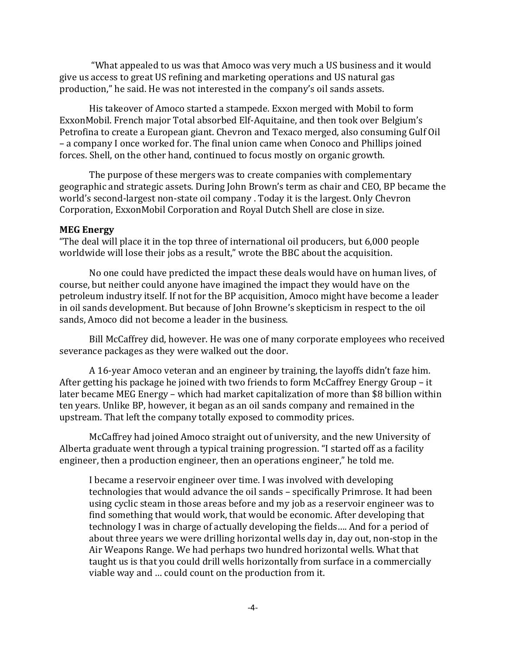"What appealed to us was that Amoco was very much a US business and it would give us access to great US refining and marketing operations and US natural gas production," he said. He was not interested in the company's oil sands assets.

His takeover of Amoco started a stampede. Exxon merged with Mobil to form ExxonMobil. French major Total absorbed Elf-Aquitaine, and then took over Belgium's Petrofina to create a European giant. Chevron and Texaco merged, also consuming Gulf Oil – a company I once worked for. The final union came when Conoco and Phillips joined forces. Shell, on the other hand, continued to focus mostly on organic growth.

The purpose of these mergers was to create companies with complementary geographic and strategic assets. During John Brown's term as chair and CEO, BP became the world's second-largest non-state oil company . Today it is the largest. Only Chevron Corporation, ExxonMobil Corporation and Royal Dutch Shell are close in size.

#### **MEG Energy**

"The deal will place it in the top three of international oil producers, but 6,000 people worldwide will lose their jobs as a result," wrote the BBC about the acquisition.

No one could have predicted the impact these deals would have on human lives, of course, but neither could anyone have imagined the impact they would have on the petroleum industry itself. If not for the BP acquisition, Amoco might have become a leader in oil sands development. But because of John Browne's skepticism in respect to the oil sands, Amoco did not become a leader in the business.

Bill McCaffrey did, however. He was one of many corporate employees who received severance packages as they were walked out the door.

A 16-year Amoco veteran and an engineer by training, the layoffs didn't faze him. After getting his package he joined with two friends to form McCaffrey Energy Group – it later became MEG Energy – which had market capitalization of more than \$8 billion within ten years. Unlike BP, however, it began as an oil sands company and remained in the upstream. That left the company totally exposed to commodity prices.

McCaffrey had joined Amoco straight out of university, and the new University of Alberta graduate went through a typical training progression. "I started off as a facility engineer, then a production engineer, then an operations engineer," he told me.

I became a reservoir engineer over time. I was involved with developing technologies that would advance the oil sands – specifically Primrose. It had been using cyclic steam in those areas before and my job as a reservoir engineer was to find something that would work, that would be economic. After developing that technology I was in charge of actually developing the fields.... And for a period of about three years we were drilling horizontal wells day in, day out, non-stop in the Air Weapons Range. We had perhaps two hundred horizontal wells. What that taught us is that you could drill wells horizontally from surface in a commercially viable way and ... could count on the production from it.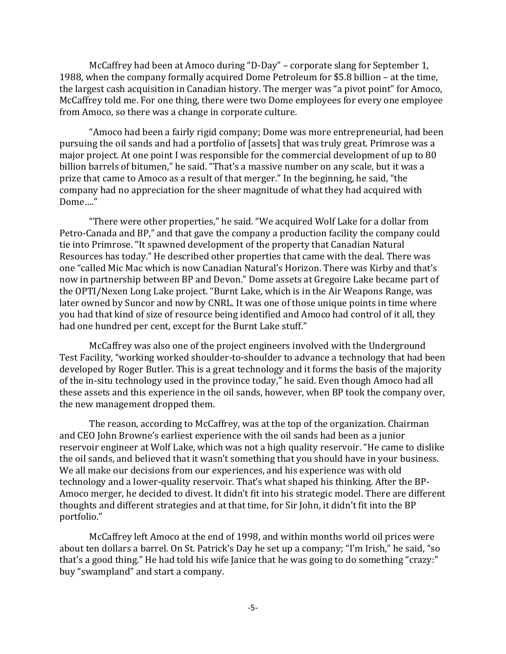McCaffrey had been at Amoco during "D-Day" – corporate slang for September 1, 1988, when the company formally acquired Dome Petroleum for \$5.8 billion - at the time. the largest cash acquisition in Canadian history. The merger was "a pivot point" for Amoco, McCaffrey told me. For one thing, there were two Dome employees for every one employee from Amoco, so there was a change in corporate culture.

"Amoco had been a fairly rigid company; Dome was more entrepreneurial, had been pursuing the oil sands and had a portfolio of [assets] that was truly great. Primrose was a major project. At one point I was responsible for the commercial development of up to 80 billion barrels of bitumen," he said. "That's a massive number on any scale, but it was a prize that came to Amoco as a result of that merger." In the beginning, he said, "the company had no appreciation for the sheer magnitude of what they had acquired with Dome…." 

"There were other properties," he said. "We acquired Wolf Lake for a dollar from Petro-Canada and BP," and that gave the company a production facility the company could tie into Primrose. "It spawned development of the property that Canadian Natural Resources has today." He described other properties that came with the deal. There was one "called Mic Mac which is now Canadian Natural's Horizon. There was Kirby and that's now in partnership between BP and Devon." Dome assets at Gregoire Lake became part of the OPTI/Nexen Long Lake project. "Burnt Lake, which is in the Air Weapons Range, was later owned by Suncor and now by CNRL. It was one of those unique points in time where you had that kind of size of resource being identified and Amoco had control of it all, they had one hundred per cent, except for the Burnt Lake stuff."

McCaffrey was also one of the project engineers involved with the Underground Test Facility, "working worked shoulder-to-shoulder to advance a technology that had been developed by Roger Butler. This is a great technology and it forms the basis of the majority of the in-situ technology used in the province today," he said. Even though Amoco had all these assets and this experience in the oil sands, however, when BP took the company over, the new management dropped them.

The reason, according to McCaffrey, was at the top of the organization. Chairman and CEO John Browne's earliest experience with the oil sands had been as a junior reservoir engineer at Wolf Lake, which was not a high quality reservoir. "He came to dislike the oil sands, and believed that it wasn't something that you should have in your business. We all make our decisions from our experiences, and his experience was with old technology and a lower-quality reservoir. That's what shaped his thinking. After the BP-Amoco merger, he decided to divest. It didn't fit into his strategic model. There are different thoughts and different strategies and at that time, for Sir John, it didn't fit into the BP portfolio." 

McCaffrey left Amoco at the end of 1998, and within months world oil prices were about ten dollars a barrel. On St. Patrick's Day he set up a company; "I'm Irish," he said, "so that's a good thing." He had told his wife Janice that he was going to do something "crazy:" buy "swampland" and start a company.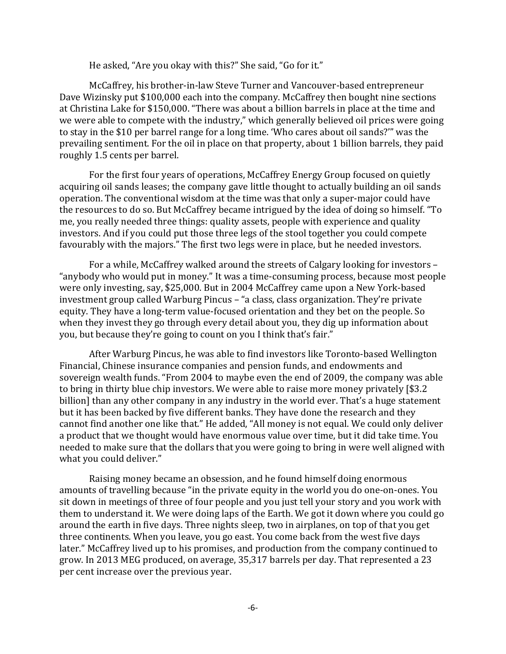He asked, "Are you okay with this?" She said, "Go for it."

McCaffrey, his brother-in-law Steve Turner and Vancouver-based entrepreneur Dave Wizinsky put \$100,000 each into the company. McCaffrey then bought nine sections at Christina Lake for \$150,000. "There was about a billion barrels in place at the time and we were able to compete with the industry," which generally believed oil prices were going to stay in the \$10 per barrel range for a long time. 'Who cares about oil sands?'" was the prevailing sentiment. For the oil in place on that property, about 1 billion barrels, they paid roughly 1.5 cents per barrel.

For the first four years of operations, McCaffrey Energy Group focused on quietly acquiring oil sands leases; the company gave little thought to actually building an oil sands operation. The conventional wisdom at the time was that only a super-major could have the resources to do so. But McCaffrey became intrigued by the idea of doing so himself. "To me, you really needed three things: quality assets, people with experience and quality investors. And if you could put those three legs of the stool together you could compete favourably with the majors." The first two legs were in place, but he needed investors.

For a while, McCaffrey walked around the streets of Calgary looking for investors -"anybody who would put in money." It was a time-consuming process, because most people were only investing, say, \$25,000. But in 2004 McCaffrey came upon a New York-based investment group called Warburg Pincus – "a class, class organization. They're private equity. They have a long-term value-focused orientation and they bet on the people. So when they invest they go through every detail about you, they dig up information about you, but because they're going to count on you I think that's fair."

After Warburg Pincus, he was able to find investors like Toronto-based Wellington Financial, Chinese insurance companies and pension funds, and endowments and sovereign wealth funds. "From 2004 to maybe even the end of 2009, the company was able to bring in thirty blue chip investors. We were able to raise more money privately [\$3.2] billion] than any other company in any industry in the world ever. That's a huge statement but it has been backed by five different banks. They have done the research and they cannot find another one like that." He added, "All money is not equal. We could only deliver a product that we thought would have enormous value over time, but it did take time. You needed to make sure that the dollars that you were going to bring in were well aligned with what you could deliver."

Raising money became an obsession, and he found himself doing enormous amounts of travelling because "in the private equity in the world you do one-on-ones. You sit down in meetings of three of four people and you just tell your story and you work with them to understand it. We were doing laps of the Earth. We got it down where you could go around the earth in five days. Three nights sleep, two in airplanes, on top of that you get three continents. When you leave, you go east. You come back from the west five days later." McCaffrey lived up to his promises, and production from the company continued to grow. In 2013 MEG produced, on average, 35,317 barrels per day. That represented a 23 per cent increase over the previous year.